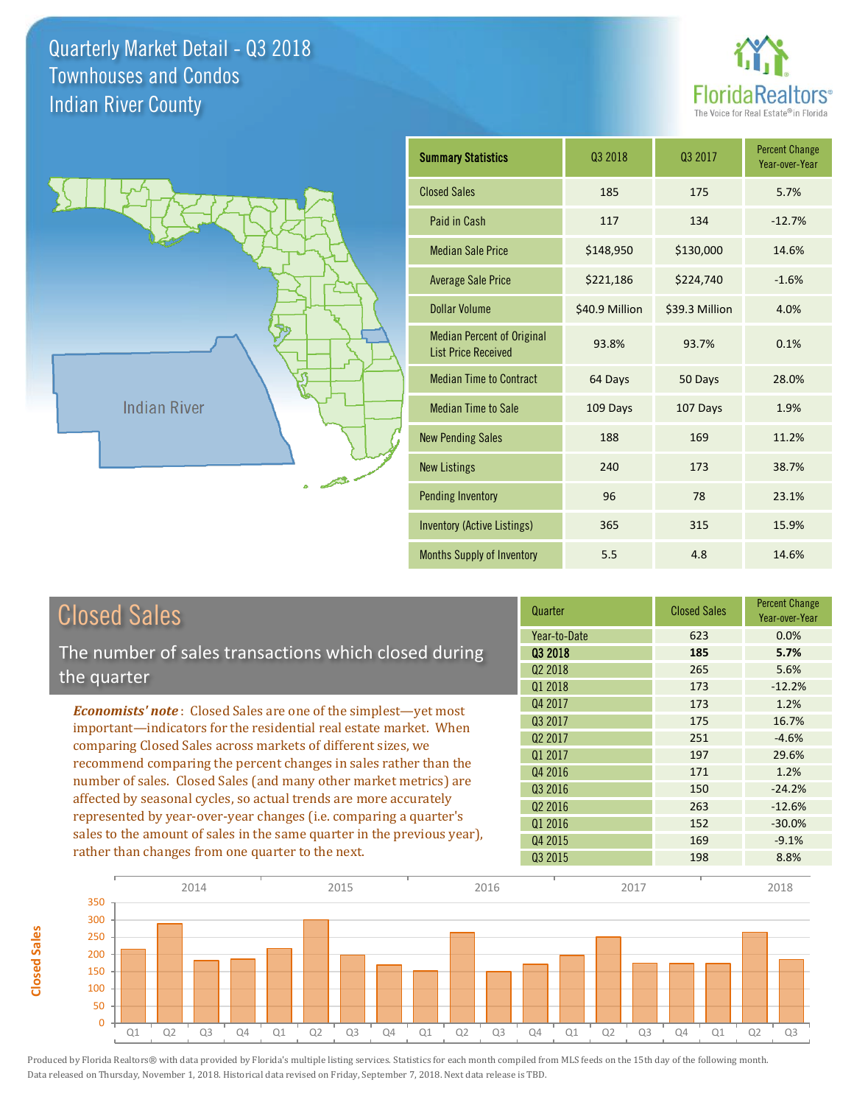**Closed Sales**

**Closed Sales** 





| <b>Summary Statistics</b>                                       | 03 2018        | 03 2017        | <b>Percent Change</b><br>Year-over-Year |
|-----------------------------------------------------------------|----------------|----------------|-----------------------------------------|
| <b>Closed Sales</b>                                             | 185            | 175            | 5.7%                                    |
| Paid in Cash                                                    | 117            | 134            | $-12.7%$                                |
| <b>Median Sale Price</b>                                        | \$148,950      | \$130,000      | 14.6%                                   |
| <b>Average Sale Price</b>                                       | \$221,186      | \$224,740      | $-1.6%$                                 |
| Dollar Volume                                                   | \$40.9 Million | \$39.3 Million | 4.0%                                    |
| <b>Median Percent of Original</b><br><b>List Price Received</b> | 93.8%          | 93.7%          | 0.1%                                    |
| <b>Median Time to Contract</b>                                  | 64 Days        | 50 Days        | 28.0%                                   |
| <b>Median Time to Sale</b>                                      | 109 Days       | 107 Days       | 1.9%                                    |
| <b>New Pending Sales</b>                                        | 188            | 169            | 11.2%                                   |
| <b>New Listings</b>                                             | 240            | 173            | 38.7%                                   |
| <b>Pending Inventory</b>                                        | 96             | 78             | 23.1%                                   |
| <b>Inventory (Active Listings)</b>                              | 365            | 315            | 15.9%                                   |
| Months Supply of Inventory                                      | 5.5            | 4.8            | 14.6%                                   |

| <b>Closed Sales</b>                                                                                                                                                                                   | Quarter             | <b>Closed Sales</b> | <b>Percent Change</b><br>Year-over-Year |
|-------------------------------------------------------------------------------------------------------------------------------------------------------------------------------------------------------|---------------------|---------------------|-----------------------------------------|
|                                                                                                                                                                                                       | Year-to-Date        | 623                 | $0.0\%$                                 |
| The number of sales transactions which closed during                                                                                                                                                  | 03 2018             | 185                 | 5.7%                                    |
| the quarter                                                                                                                                                                                           | Q <sub>2</sub> 2018 | 265                 | 5.6%                                    |
|                                                                                                                                                                                                       | Q1 2018             | 173                 | $-12.2%$                                |
| <b>Economists' note:</b> Closed Sales are one of the simplest—yet most                                                                                                                                | Q4 2017             | 173                 | 1.2%                                    |
| important—indicators for the residential real estate market. When                                                                                                                                     | Q3 2017             | 175                 | 16.7%                                   |
| comparing Closed Sales across markets of different sizes, we<br>recommend comparing the percent changes in sales rather than the<br>number of sales. Closed Sales (and many other market metrics) are | Q <sub>2</sub> 2017 | 251                 | $-4.6%$                                 |
|                                                                                                                                                                                                       | Q1 2017             | 197                 | 29.6%                                   |
|                                                                                                                                                                                                       | Q4 2016             | 171                 | 1.2%                                    |
|                                                                                                                                                                                                       | 03 2016             | 150                 | $-24.2%$                                |
| affected by seasonal cycles, so actual trends are more accurately                                                                                                                                     | Q <sub>2</sub> 2016 | 263                 | $-12.6%$                                |
| represented by year-over-year changes (i.e. comparing a quarter's                                                                                                                                     | Q1 2016             | 152                 | $-30.0%$                                |
| sales to the amount of sales in the same quarter in the previous year),                                                                                                                               | Q4 2015             | 169                 | $-9.1%$                                 |
| rather than changes from one quarter to the next.                                                                                                                                                     | Q3 2015             | 198                 | 8.8%                                    |

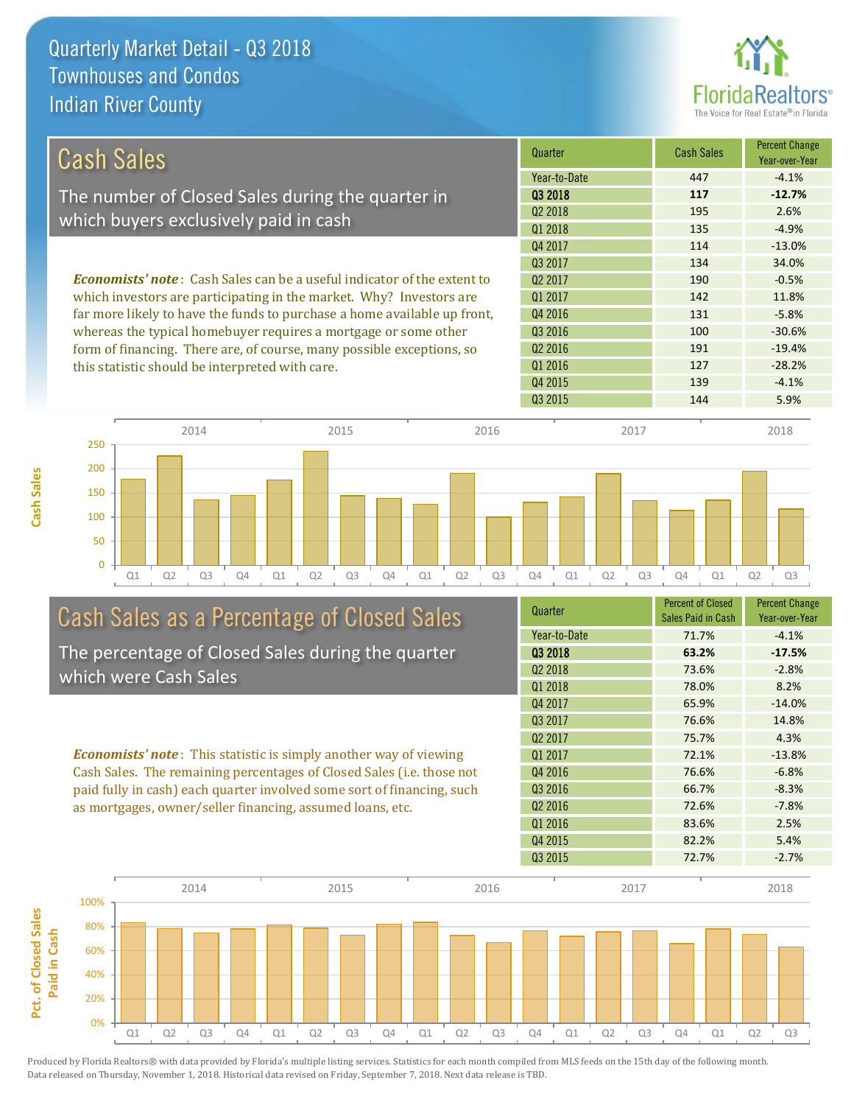**Cash Sales**



| Cash Sales                                                                     | Quarter             | <b>Cash Sales</b> | <b>Percent Change</b><br>Year-over-Year |
|--------------------------------------------------------------------------------|---------------------|-------------------|-----------------------------------------|
|                                                                                | Year-to-Date        | 447               | $-4.1%$                                 |
| The number of Closed Sales during the quarter in                               | 03 2018             | 117               | $-12.7%$                                |
|                                                                                | 02 2018             | 195               | 2.6%                                    |
| which buyers exclusively paid in cash                                          | 01 2018             | 135               | $-4.9%$                                 |
|                                                                                | Q4 2017             | 114               | $-13.0%$                                |
|                                                                                | 03 2017             | 134               | 34.0%                                   |
| <b>Economists' note:</b> Cash Sales can be a useful indicator of the extent to | 02 2017             | 190               | $-0.5%$                                 |
| which investors are participating in the market. Why? Investors are            | 01 2017             | 142               | 11.8%                                   |
| far more likely to have the funds to purchase a home available up front,       | Q4 2016             | 131               | $-5.8%$                                 |
| whereas the typical homebuyer requires a mortgage or some other                | Q3 2016             | 100               | $-30.6%$                                |
| form of financing. There are, of course, many possible exceptions, so          | Q <sub>2</sub> 2016 | 191               | $-19.4%$                                |
| this statistic should be interpreted with care.                                | Q1 2016             | 127               | $-28.2%$                                |
|                                                                                | Q4 2015             | 139               | $-4.1%$                                 |



# Cash Sales as a Percentage of Closed Sales

The percentage of Closed Sales during the quarter which were Cash Sales

*Economists' note* : This statistic is simply another way of viewing Cash Sales. The remaining percentages of Closed Sales (i.e. those not paid fully in cash) each quarter involved some sort of financing, such as mortgages, owner/seller financing, assumed loans, etc.

| Quarter             | <b>Percent of Closed</b><br>Sales Paid in Cash | <b>Percent Change</b><br>Year-over-Year |
|---------------------|------------------------------------------------|-----------------------------------------|
| Year-to-Date        | 71.7%                                          | $-4.1%$                                 |
| Q3 2018             | 63.2%                                          | $-17.5%$                                |
| 02 2018             | 73.6%                                          | $-2.8%$                                 |
| Q1 2018             | 78.0%                                          | 8.2%                                    |
| Q4 2017             | 65.9%                                          | $-14.0%$                                |
| Q3 2017             | 76.6%                                          | 14.8%                                   |
| Q <sub>2</sub> 2017 | 75.7%                                          | 4.3%                                    |
| 01 2017             | 72.1%                                          | $-13.8%$                                |
| Q4 2016             | 76.6%                                          | $-6.8%$                                 |
| Q3 2016             | 66.7%                                          | $-8.3%$                                 |
| Q <sub>2</sub> 2016 | 72.6%                                          | $-7.8%$                                 |
| Q1 2016             | 83.6%                                          | 2.5%                                    |
| Q4 2015             | 82.2%                                          | 5.4%                                    |
| Q3 2015             | 72.7%                                          | $-2.7%$                                 |
|                     |                                                |                                         |

Q3 2015 144 5.9%

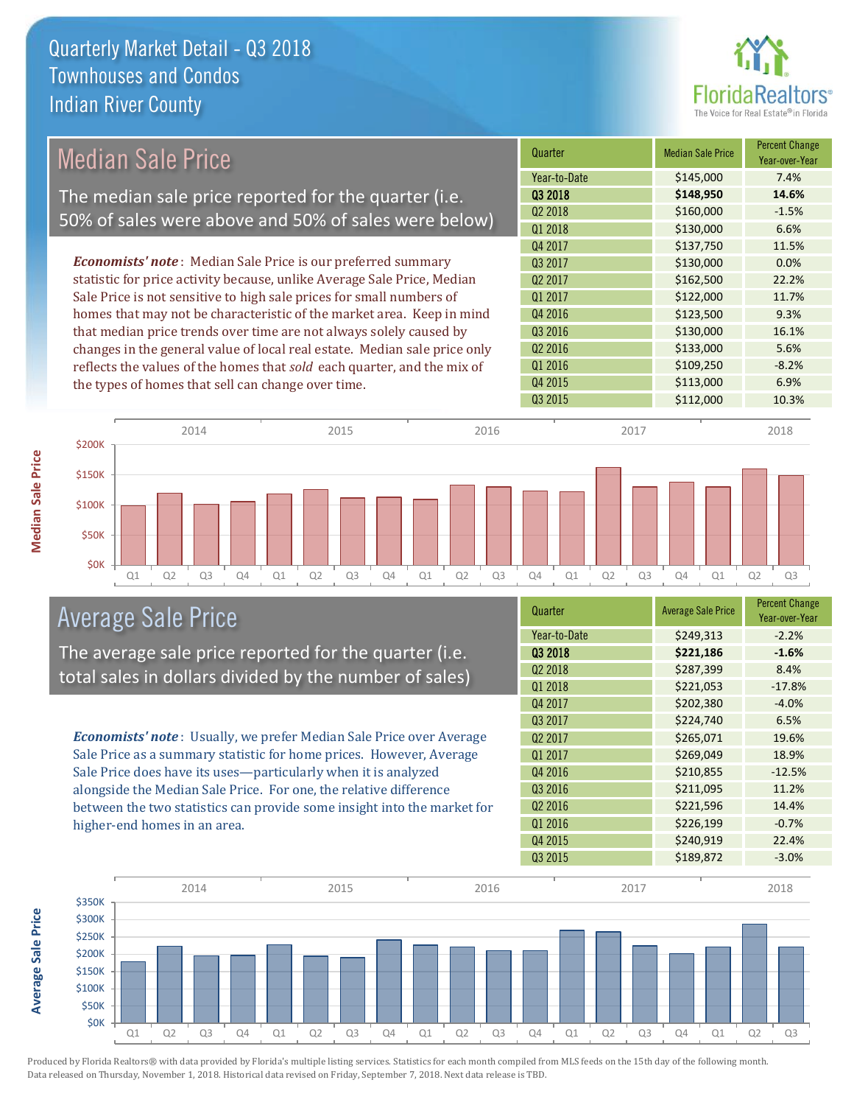

# Median Sale Price

The median sale price reported for the quarter (i.e. 50% of sales were above and 50% of sales were below)

*Economists' note* : Median Sale Price is our preferred summary statistic for price activity because, unlike Average Sale Price, Median Sale Price is not sensitive to high sale prices for small numbers of homes that may not be characteristic of the market area. Keep in mind that median price trends over time are not always solely caused by changes in the general value of local real estate. Median sale price only reflects the values of the homes that *sold* each quarter, and the mix of the types of homes that sell can change over time.

| Quarter             | <b>Median Sale Price</b> | <b>Percent Change</b><br>Year-over-Year |
|---------------------|--------------------------|-----------------------------------------|
| Year-to-Date        | \$145,000                | 7.4%                                    |
| Q3 2018             | \$148,950                | 14.6%                                   |
| Q2 2018             | \$160,000                | $-1.5%$                                 |
| Q1 2018             | \$130,000                | 6.6%                                    |
| Q4 2017             | \$137,750                | 11.5%                                   |
| Q3 2017             | \$130,000                | 0.0%                                    |
| Q <sub>2</sub> 2017 | \$162,500                | 22.2%                                   |
| Q1 2017             | \$122,000                | 11.7%                                   |
| Q4 2016             | \$123,500                | 9.3%                                    |
| Q3 2016             | \$130,000                | 16.1%                                   |
| Q <sub>2</sub> 2016 | \$133,000                | 5.6%                                    |
| Q1 2016             | \$109,250                | $-8.2%$                                 |
| Q4 2015             | \$113,000                | 6.9%                                    |
| Q3 2015             | \$112,000                | 10.3%                                   |



## Average Sale Price

The average sale price reported for the quarter (i.e. total sales in dollars divided by the number of sales)

*Economists' note* : Usually, we prefer Median Sale Price over Average Sale Price as a summary statistic for home prices. However, Average Sale Price does have its uses—particularly when it is analyzed alongside the Median Sale Price. For one, the relative difference between the two statistics can provide some insight into the market for higher-end homes in an area.

| Quarter             | <b>Average Sale Price</b> | <b>Percent Change</b><br>Year-over-Year |
|---------------------|---------------------------|-----------------------------------------|
| Year-to-Date        | \$249,313                 | $-2.2%$                                 |
| Q3 2018             | \$221,186                 | $-1.6%$                                 |
| Q <sub>2</sub> 2018 | \$287,399                 | 8.4%                                    |
| Q1 2018             | \$221,053                 | $-17.8%$                                |
| Q4 2017             | \$202,380                 | $-4.0%$                                 |
| Q3 2017             | \$224,740                 | 6.5%                                    |
| Q <sub>2</sub> 2017 | \$265,071                 | 19.6%                                   |
| Q1 2017             | \$269,049                 | 18.9%                                   |
| Q4 2016             | \$210,855                 | $-12.5%$                                |
| Q3 2016             | \$211,095                 | 11.2%                                   |
| Q <sub>2</sub> 2016 | \$221,596                 | 14.4%                                   |
| Q1 2016             | \$226,199                 | $-0.7%$                                 |
| Q4 2015             | \$240,919                 | 22.4%                                   |
| Q3 2015             | \$189,872                 | $-3.0%$                                 |



**Median Sale Price**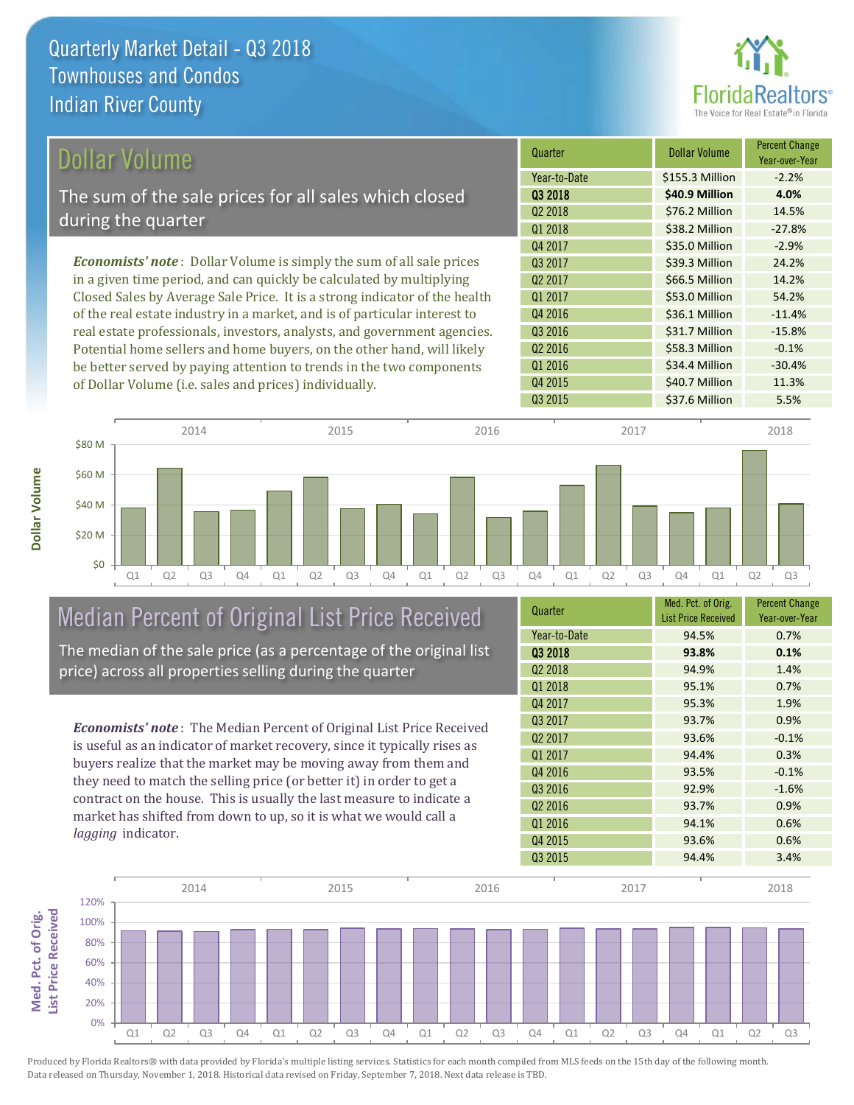

# Dollar Volume

The sum of the sale prices for all sales which closed during the quarter

*Economists' note* : Dollar Volume is simply the sum of all sale prices in a given time period, and can quickly be calculated by multiplying Closed Sales by Average Sale Price. It is a strong indicator of the health of the real estate industry in a market, and is of particular interest to real estate professionals, investors, analysts, and government agencies. Potential home sellers and home buyers, on the other hand, will likely be better served by paying attention to trends in the two components of Dollar Volume (i.e. sales and prices) individually.

| Quarter             | <b>Dollar Volume</b> | <b>Percent Change</b><br>Year-over-Year |
|---------------------|----------------------|-----------------------------------------|
| Year-to-Date        | \$155.3 Million      | $-2.2%$                                 |
| 03 2018             | \$40.9 Million       | 4.0%                                    |
| Q <sub>2</sub> 2018 | \$76.2 Million       | 14.5%                                   |
| Q1 2018             | \$38.2 Million       | $-27.8%$                                |
| Q4 2017             | \$35.0 Million       | $-2.9%$                                 |
| Q3 2017             | \$39.3 Million       | 24.2%                                   |
| Q <sub>2</sub> 2017 | \$66.5 Million       | 14.2%                                   |
| Q1 2017             | \$53.0 Million       | 54.2%                                   |
| Q4 2016             | \$36.1 Million       | $-11.4%$                                |
| Q3 2016             | \$31.7 Million       | $-15.8%$                                |
| Q <sub>2</sub> 2016 | \$58.3 Million       | $-0.1%$                                 |
| Q1 2016             | \$34.4 Million       | $-30.4%$                                |
| Q4 2015             | \$40.7 Million       | 11.3%                                   |
| Q3 2015             | \$37.6 Million       | 5.5%                                    |



## Median Percent of Original List Price Received The median of the sale price (as a percentage of the original list

price) across all properties selling during the quarter

*Economists' note* : The Median Percent of Original List Price Received is useful as an indicator of market recovery, since it typically rises as buyers realize that the market may be moving away from them and they need to match the selling price (or better it) in order to get a contract on the house. This is usually the last measure to indicate a market has shifted from down to up, so it is what we would call a *lagging* indicator.

| Quarter             | Med. Pct. of Orig.<br><b>List Price Received</b> | <b>Percent Change</b><br>Year-over-Year |
|---------------------|--------------------------------------------------|-----------------------------------------|
| Year-to-Date        | 94.5%                                            | 0.7%                                    |
| 03 2018             | 93.8%                                            | 0.1%                                    |
| Q <sub>2</sub> 2018 | 94.9%                                            | 1.4%                                    |
| Q1 2018             | 95.1%                                            | 0.7%                                    |
| Q4 2017             | 95.3%                                            | 1.9%                                    |
| Q3 2017             | 93.7%                                            | 0.9%                                    |
| Q <sub>2</sub> 2017 | 93.6%                                            | $-0.1%$                                 |
| Q1 2017             | 94.4%                                            | 0.3%                                    |
| Q4 2016             | 93.5%                                            | $-0.1%$                                 |
| Q3 2016             | 92.9%                                            | $-1.6%$                                 |
| Q <sub>2</sub> 2016 | 93.7%                                            | 0.9%                                    |
| Q1 2016             | 94.1%                                            | 0.6%                                    |
| Q4 2015             | 93.6%                                            | 0.6%                                    |
| Q3 2015             | 94.4%                                            | 3.4%                                    |

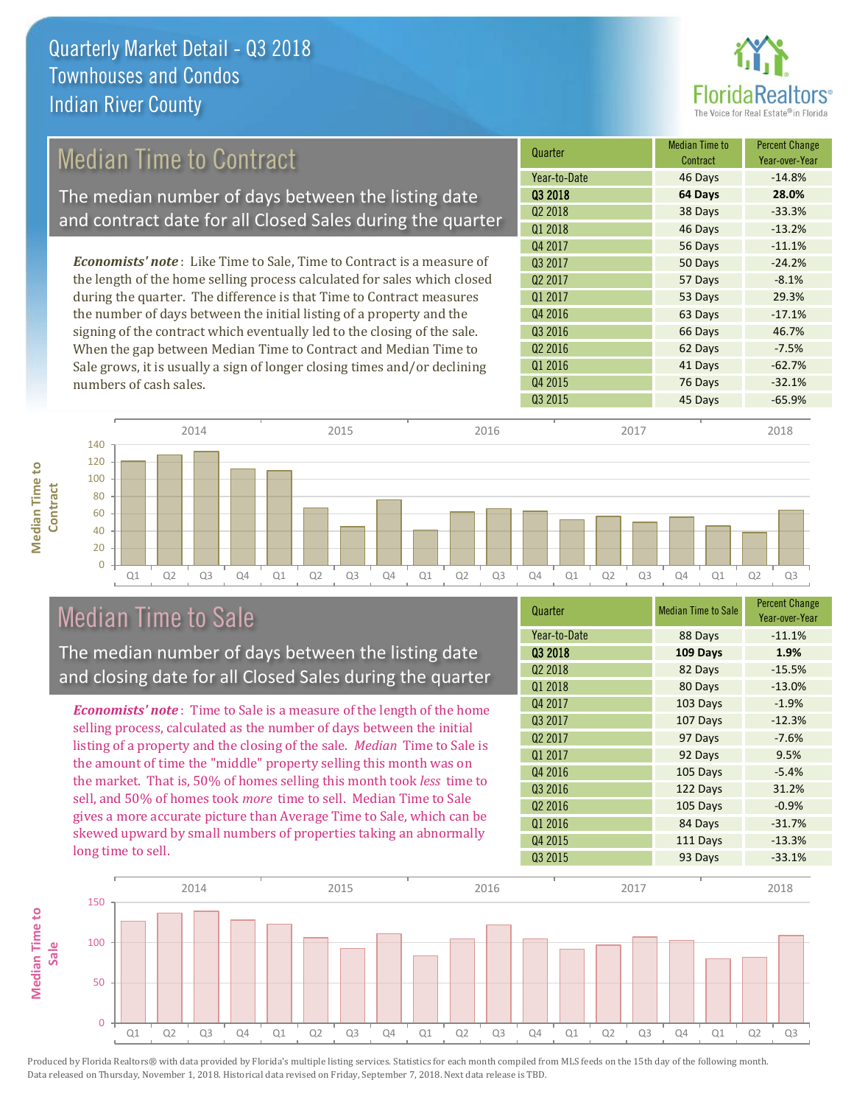

# Median Time to Contract

The median number of days between the listing date and contract date for all Closed Sales during the quarter

*Economists' note* : Like Time to Sale, Time to Contract is a measure of the length of the home selling process calculated for sales which closed during the quarter. The difference is that Time to Contract measures the number of days between the initial listing of a property and the signing of the contract which eventually led to the closing of the sale. When the gap between Median Time to Contract and Median Time to Sale grows, it is usually a sign of longer closing times and/or declining numbers of cash sales.

| Quarter             | <b>Median Time to</b><br>Contract | <b>Percent Change</b><br>Year-over-Year |
|---------------------|-----------------------------------|-----------------------------------------|
| Year-to-Date        | 46 Days                           | $-14.8%$                                |
| Q3 2018             | 64 Days                           | 28.0%                                   |
| Q <sub>2</sub> 2018 | 38 Days                           | $-33.3%$                                |
| Q1 2018             | 46 Days                           | $-13.2%$                                |
| Q4 2017             | 56 Days                           | $-11.1%$                                |
| 03 2017             | 50 Days                           | $-24.2%$                                |
| Q <sub>2</sub> 2017 | 57 Days                           | $-8.1%$                                 |
| Q1 2017             | 53 Days                           | 29.3%                                   |
| Q4 2016             | 63 Days                           | $-17.1%$                                |
| Q3 2016             | 66 Days                           | 46.7%                                   |
| Q <sub>2</sub> 2016 | 62 Days                           | $-7.5%$                                 |
| Q1 2016             | 41 Days                           | $-62.7%$                                |
| Q4 2015             | 76 Days                           | $-32.1%$                                |
| Q3 2015             | 45 Days                           | $-65.9%$                                |



# Median Time to Sale

**Median Time to** 

**Median Time to** 

The median number of days between the listing date and closing date for all Closed Sales during the quarter

*Economists' note* : Time to Sale is a measure of the length of the home selling process, calculated as the number of days between the initial listing of a property and the closing of the sale. *Median* Time to Sale is the amount of time the "middle" property selling this month was on the market. That is, 50% of homes selling this month took *less* time to sell, and 50% of homes took *more* time to sell. Median Time to Sale gives a more accurate picture than Average Time to Sale, which can be skewed upward by small numbers of properties taking an abnormally long time to sell.

| Quarter             | <b>Median Time to Sale</b> | <b>Percent Change</b><br>Year-over-Year |
|---------------------|----------------------------|-----------------------------------------|
| Year-to-Date        | 88 Days                    | $-11.1%$                                |
| Q3 2018             | 109 Days                   | 1.9%                                    |
| Q <sub>2</sub> 2018 | 82 Days                    | $-15.5%$                                |
| Q1 2018             | 80 Days                    | $-13.0%$                                |
| Q4 2017             | 103 Days                   | $-1.9%$                                 |
| Q3 2017             | 107 Days                   | $-12.3%$                                |
| Q <sub>2</sub> 2017 | 97 Days                    | $-7.6%$                                 |
| Q1 2017             | 92 Days                    | 9.5%                                    |
| Q4 2016             | 105 Days                   | $-5.4%$                                 |
| Q3 2016             | 122 Days                   | 31.2%                                   |
| Q <sub>2</sub> 2016 | 105 Days                   | $-0.9%$                                 |
| Q1 2016             | 84 Days                    | $-31.7%$                                |
| Q4 2015             | 111 Days                   | $-13.3%$                                |
| Q3 2015             | 93 Days                    | $-33.1%$                                |

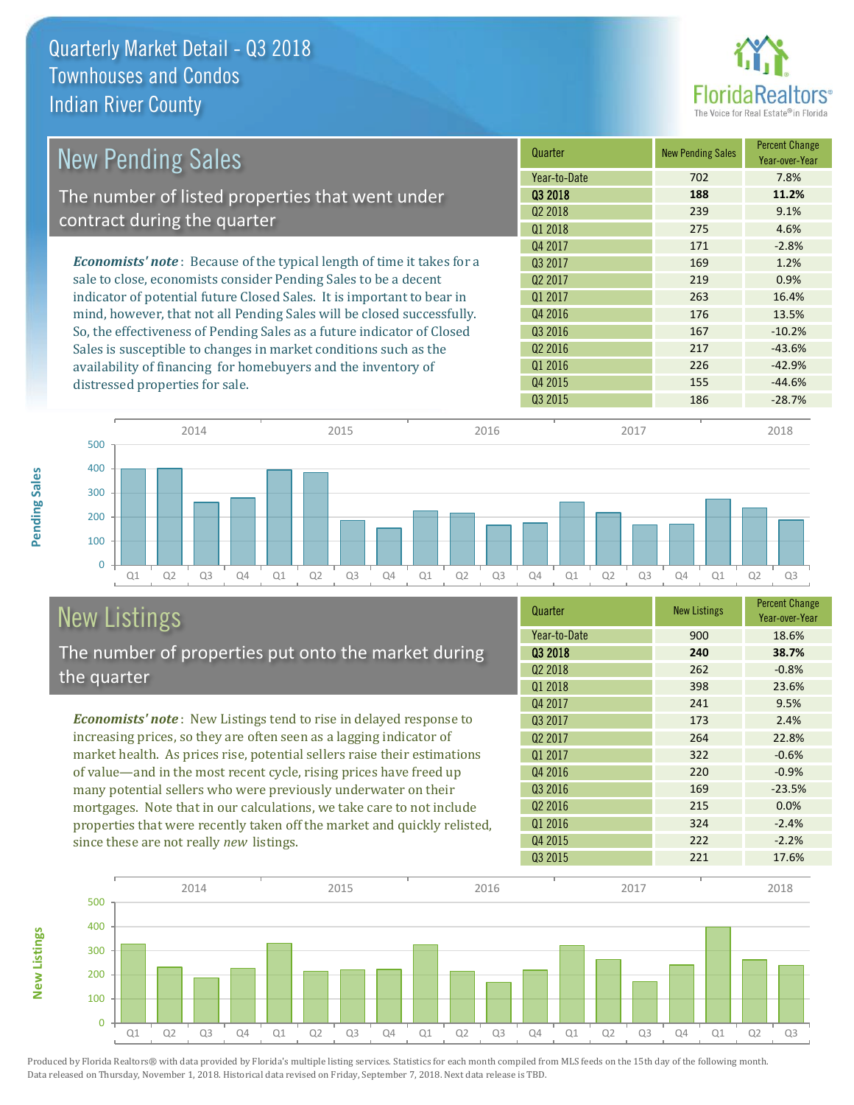

| <b>New Pending Sales</b>                                                      | Quarter             | <b>New Pending Sales</b> | <b>Percent Change</b><br>Year-over-Year |
|-------------------------------------------------------------------------------|---------------------|--------------------------|-----------------------------------------|
|                                                                               | Year-to-Date        | 702                      | 7.8%                                    |
| The number of listed properties that went under                               | 03 2018             | 188                      | 11.2%                                   |
| contract during the quarter                                                   | 02 2018             | 239                      | 9.1%                                    |
|                                                                               | Q1 2018             | 275                      | 4.6%                                    |
|                                                                               | Q4 2017             | 171                      | $-2.8%$                                 |
| <b>Economists' note:</b> Because of the typical length of time it takes for a | 03 2017             | 169                      | 1.2%                                    |
| sale to close, economists consider Pending Sales to be a decent               | Q <sub>2</sub> 2017 | 219                      | 0.9%                                    |
| indicator of potential future Closed Sales. It is important to bear in        | 01 2017             | 263                      | 16.4%                                   |
| mind, however, that not all Pending Sales will be closed successfully.        | Q4 2016             | 176                      | 13.5%                                   |
| So, the effectiveness of Pending Sales as a future indicator of Closed        | Q3 2016             | 167                      | $-10.2%$                                |
| Sales is susceptible to changes in market conditions such as the              | Q <sub>2</sub> 2016 | 217                      | $-43.6%$                                |
| availability of financing for homebuyers and the inventory of                 | Q1 2016             | 226                      | $-42.9%$                                |
| distressed properties for sale.                                               | Q4 2015             | 155                      | $-44.6%$                                |
|                                                                               | Q3 2015             | 186                      | $-28.7%$                                |



## New Listings The number of properties put onto the market during the quarter

*Economists' note* : New Listings tend to rise in delayed response to increasing prices, so they are often seen as a lagging indicator of market health. As prices rise, potential sellers raise their estimations of value—and in the most recent cycle, rising prices have freed up many potential sellers who were previously underwater on their mortgages. Note that in our calculations, we take care to not include properties that were recently taken off the market and quickly relisted, since these are not really *new* listings.

**New Listings**

**Pending Sales**

Pending Sales

| Quarter             | <b>New Listings</b> | <b>Percent Change</b><br>Year-over-Year |
|---------------------|---------------------|-----------------------------------------|
| Year-to-Date        | 900                 | 18.6%                                   |
| 03 2018             | 240                 | 38.7%                                   |
| Q <sub>2</sub> 2018 | 262                 | $-0.8%$                                 |
| Q1 2018             | 398                 | 23.6%                                   |
| Q4 2017             | 241                 | 9.5%                                    |
| Q3 2017             | 173                 | 2.4%                                    |
| Q <sub>2</sub> 2017 | 264                 | 22.8%                                   |
| Q1 2017             | 322                 | $-0.6%$                                 |
| Q4 2016             | 220                 | $-0.9%$                                 |
| Q3 2016             | 169                 | $-23.5%$                                |
| Q <sub>2</sub> 2016 | 215                 | 0.0%                                    |
| Q1 2016             | 324                 | $-2.4%$                                 |
| Q4 2015             | 222                 | $-2.2%$                                 |
| Q3 2015             | 221                 | 17.6%                                   |

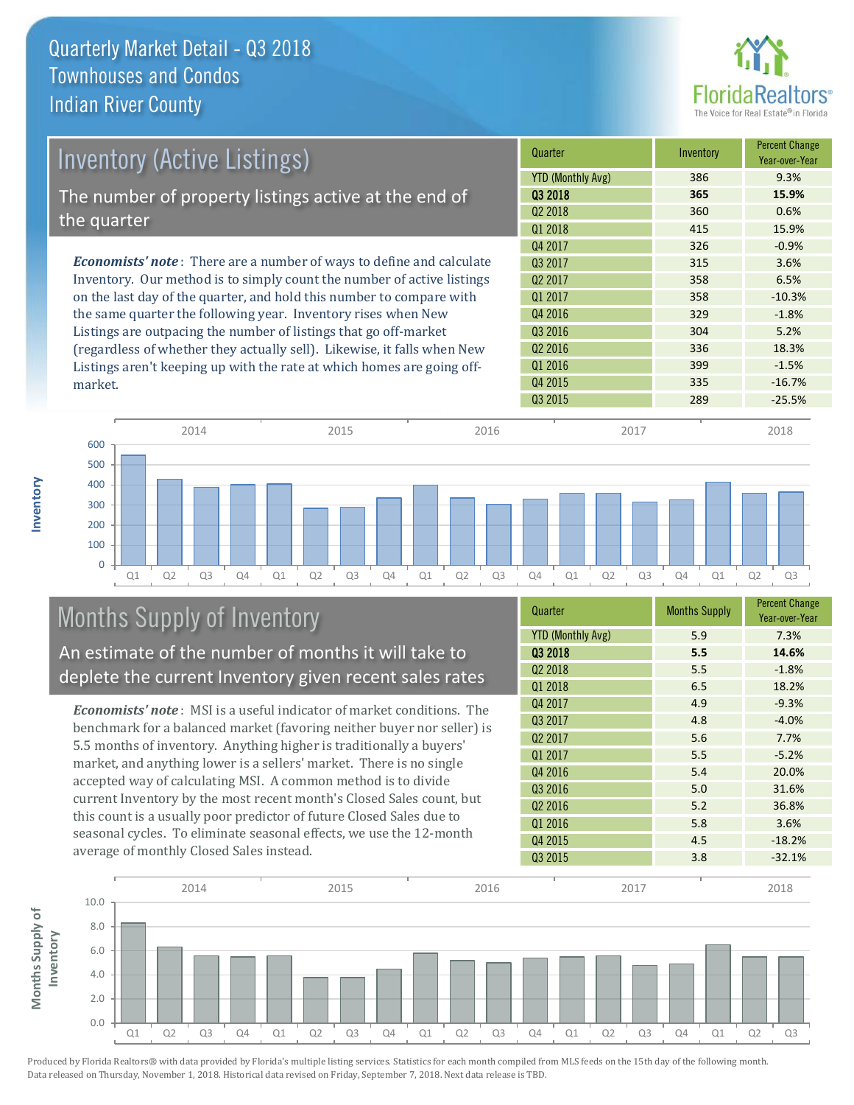

| <b>Inventory (Active Listings)</b>                                          | Quarter                  | Inventory | <b>Percent Change</b><br>Year-over-Year |
|-----------------------------------------------------------------------------|--------------------------|-----------|-----------------------------------------|
|                                                                             | <b>YTD (Monthly Avg)</b> | 386       | 9.3%                                    |
| The number of property listings active at the end of                        | 03 2018                  | 365       | 15.9%                                   |
| the quarter                                                                 | Q <sub>2</sub> 2018      | 360       | 0.6%                                    |
|                                                                             | Q1 2018                  | 415       | 15.9%                                   |
|                                                                             | Q4 2017                  | 326       | $-0.9%$                                 |
| <b>Economists' note:</b> There are a number of ways to define and calculate | 03 2017                  | 315       | 3.6%                                    |
| Inventory. Our method is to simply count the number of active listings      | Q <sub>2</sub> 2017      | 358       | 6.5%                                    |
| on the last day of the quarter, and hold this number to compare with        | Q1 2017                  | 358       | $-10.3%$                                |
| the same quarter the following year. Inventory rises when New               | Q4 2016                  | 329       | $-1.8%$                                 |
| Listings are outpacing the number of listings that go off-market            | Q3 2016                  | 304       | 5.2%                                    |
| (regardless of whether they actually sell). Likewise, it falls when New     | Q <sub>2</sub> 2016      | 336       | 18.3%                                   |
| Listings aren't keeping up with the rate at which homes are going off-      | Q1 2016                  | 399       | $-1.5%$                                 |



# Months Supply of Inventory

market.

**Inventory**

An estimate of the number of months it will take to deplete the current Inventory given recent sales rates

*Economists' note* : MSI is a useful indicator of market conditions. The benchmark for a balanced market (favoring neither buyer nor seller) is 5.5 months of inventory. Anything higher is traditionally a buyers' market, and anything lower is a sellers' market. There is no single accepted way of calculating MSI. A common method is to divide current Inventory by the most recent month's Closed Sales count, but this count is a usually poor predictor of future Closed Sales due to seasonal cycles. To eliminate seasonal effects, we use the 12-month average of monthly Closed Sales instead.

| Quarter                  | <b>Months Supply</b> | <b>Percent Change</b><br>Year-over-Year |
|--------------------------|----------------------|-----------------------------------------|
| <b>YTD (Monthly Avg)</b> | 5.9                  | 7.3%                                    |
| 03 2018                  | 5.5                  | 14.6%                                   |
| Q <sub>2</sub> 2018      | 5.5                  | $-1.8%$                                 |
| 01 2018                  | 6.5                  | 18.2%                                   |
| Q4 2017                  | 4.9                  | $-9.3%$                                 |
| Q3 2017                  | 4.8                  | $-4.0%$                                 |
| Q <sub>2</sub> 2017      | 5.6                  | 7.7%                                    |
| Q1 2017                  | 5.5                  | $-5.2%$                                 |
| Q4 2016                  | 5.4                  | 20.0%                                   |
| Q3 2016                  | 5.0                  | 31.6%                                   |
| Q <sub>2</sub> 2016      | 5.2                  | 36.8%                                   |
| Q1 2016                  | 5.8                  | 3.6%                                    |
| Q4 2015                  | 4.5                  | $-18.2%$                                |
| Q3 2015                  | 3.8                  | $-32.1%$                                |

Q3 2015 289 289 25.5%

Q4 2015 335 -16.7%

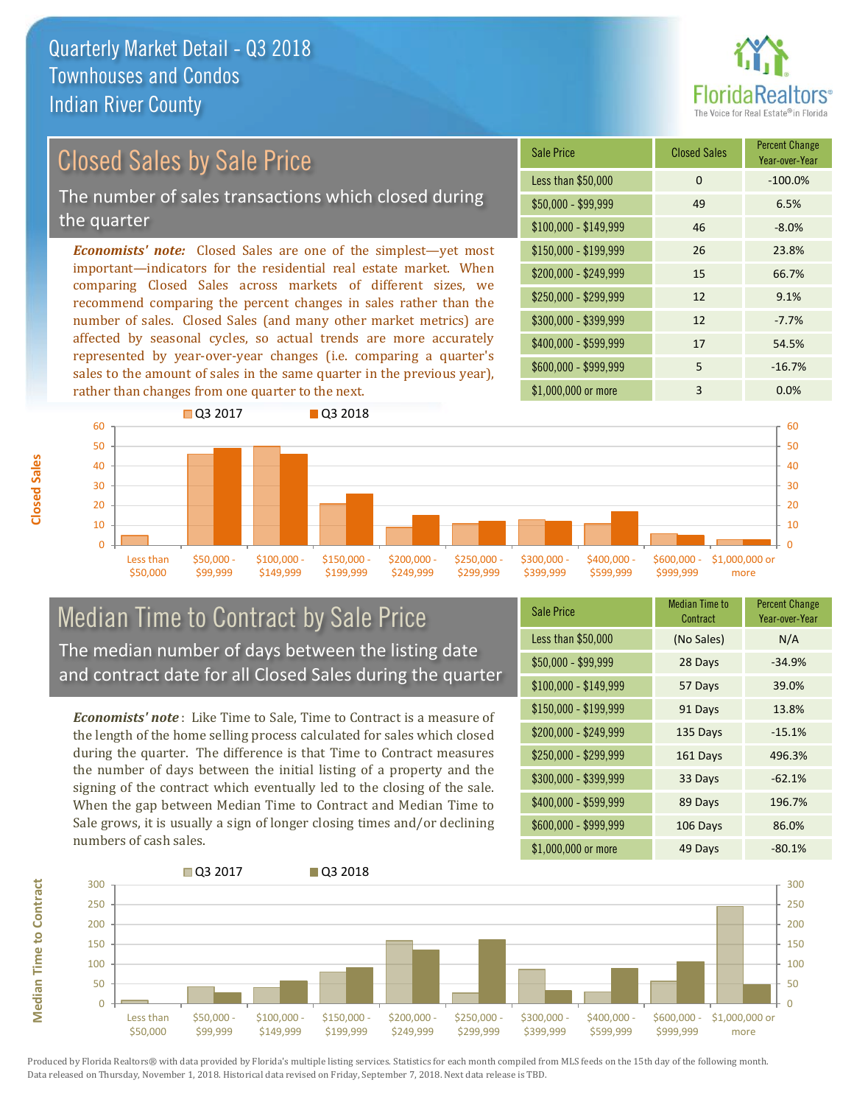

# Closed Sales by Sale Price

The number of sales transactions which closed during the quarter

*Economists' note:* Closed Sales are one of the simplest—yet most important—indicators for the residential real estate market. When comparing Closed Sales across markets of different sizes, we recommend comparing the percent changes in sales rather than the number of sales. Closed Sales (and many other market metrics) are affected by seasonal cycles, so actual trends are more accurately represented by year-over-year changes (i.e. comparing a quarter's sales to the amount of sales in the same quarter in the previous year), rather than changes from one quarter to the next.

| Sale Price            | <b>Closed Sales</b> | <b>Percent Change</b><br>Year-over-Year |
|-----------------------|---------------------|-----------------------------------------|
| Less than \$50,000    | 0                   | $-100.0%$                               |
| $$50,000 - $99,999$   | 49                  | 6.5%                                    |
| $$100,000 - $149,999$ | 46                  | $-8.0%$                                 |
| $$150,000 - $199,999$ | 26                  | 23.8%                                   |
| \$200,000 - \$249,999 | 15                  | 66.7%                                   |
| \$250,000 - \$299,999 | 12                  | 9.1%                                    |
| \$300,000 - \$399,999 | 12                  | $-7.7%$                                 |
| \$400,000 - \$599,999 | 17                  | 54.5%                                   |
| \$600,000 - \$999,999 | 5                   | $-16.7%$                                |
| \$1,000,000 or more   | 3                   | 0.0%                                    |



#### Median Time to Contract by Sale Price The median number of days between the listing date and contract date for all Closed Sales during the quarter

*Economists' note* : Like Time to Sale, Time to Contract is a measure of the length of the home selling process calculated for sales which closed during the quarter. The difference is that Time to Contract measures the number of days between the initial listing of a property and the signing of the contract which eventually led to the closing of the sale. When the gap between Median Time to Contract and Median Time to Sale grows, it is usually a sign of longer closing times and/or declining numbers of cash sales.

| <b>Sale Price</b>     | Median Time to<br>Contract | <b>Percent Change</b><br>Year-over-Year |
|-----------------------|----------------------------|-----------------------------------------|
| Less than \$50,000    | (No Sales)                 | N/A                                     |
| $$50,000 - $99,999$   | 28 Days                    | $-34.9%$                                |
| $$100,000 - $149,999$ | 57 Days                    | 39.0%                                   |
| $$150,000 - $199,999$ | 91 Days                    | 13.8%                                   |
| \$200,000 - \$249,999 | 135 Days                   | $-15.1%$                                |
| \$250,000 - \$299,999 | 161 Days                   | 496.3%                                  |
| \$300,000 - \$399,999 | 33 Days                    | $-62.1%$                                |
| \$400,000 - \$599,999 | 89 Days                    | 196.7%                                  |
| \$600,000 - \$999,999 | 106 Days                   | 86.0%                                   |
| \$1,000,000 or more   | 49 Days                    | $-80.1%$                                |



Produced by Florida Realtors® with data provided by Florida's multiple listing services. Statistics for each month compiled from MLS feeds on the 15th day of the following month. Data released on Thursday, November 1, 2018. Historical data revised on Friday, September 7, 2018. Next data release is TBD.

**Median Time to Contract**

**Median Time to Contract**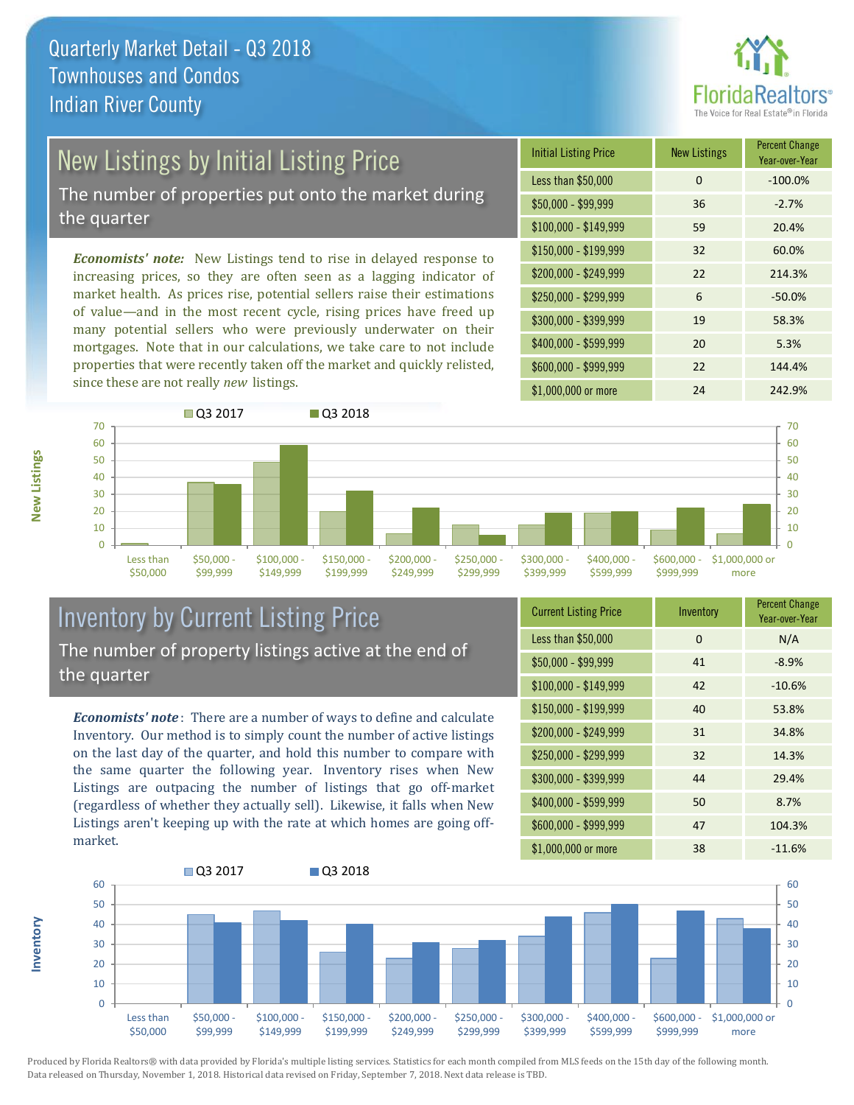

# New Listings by Initial Listing Price

The number of properties put onto the market during the quarter

*Economists' note:* New Listings tend to rise in delayed response to increasing prices, so they are often seen as a lagging indicator of market health. As prices rise, potential sellers raise their estimations of value—and in the most recent cycle, rising prices have freed up many potential sellers who were previously underwater on their mortgages. Note that in our calculations, we take care to not include properties that were recently taken off the market and quickly relisted, since these are not really *new* listings.

| <b>Initial Listing Price</b> | <b>New Listings</b> | <b>Percent Change</b><br>Year-over-Year |
|------------------------------|---------------------|-----------------------------------------|
| Less than \$50,000           | 0                   | $-100.0%$                               |
| $$50,000 - $99,999$          | 36                  | $-2.7%$                                 |
| $$100,000 - $149,999$        | 59                  | 20.4%                                   |
| $$150,000 - $199,999$        | 32                  | 60.0%                                   |
| \$200,000 - \$249,999        | 22                  | 214.3%                                  |
| \$250,000 - \$299,999        | 6                   | $-50.0%$                                |
| \$300,000 - \$399,999        | 19                  | 58.3%                                   |
| \$400,000 - \$599,999        | 20                  | 5.3%                                    |
| \$600,000 - \$999,999        | 22                  | 144.4%                                  |
| \$1,000,000 or more          | 24                  | 242.9%                                  |



## Inventory by Current Listing Price The number of property listings active at the end of the quarter

*Economists' note* : There are a number of ways to define and calculate Inventory. Our method is to simply count the number of active listings on the last day of the quarter, and hold this number to compare with the same quarter the following year. Inventory rises when New Listings are outpacing the number of listings that go off-market (regardless of whether they actually sell). Likewise, it falls when New Listings aren't keeping up with the rate at which homes are going offmarket.

| <b>Current Listing Price</b> | Inventory | <b>Percent Change</b><br>Year-over-Year |
|------------------------------|-----------|-----------------------------------------|
| Less than \$50,000           | 0         | N/A                                     |
| $$50,000 - $99,999$          | 41        | $-8.9%$                                 |
| $$100,000 - $149,999$        | 42        | $-10.6%$                                |
| $$150,000 - $199,999$        | 40        | 53.8%                                   |
| \$200,000 - \$249,999        | 31        | 34.8%                                   |
| \$250,000 - \$299,999        | 32        | 14.3%                                   |
| \$300,000 - \$399,999        | 44        | 29.4%                                   |
| \$400,000 - \$599,999        | 50        | 8.7%                                    |
| \$600,000 - \$999,999        | 47        | 104.3%                                  |
| \$1,000,000 or more          | 38        | $-11.6%$                                |



Produced by Florida Realtors® with data provided by Florida's multiple listing services. Statistics for each month compiled from MLS feeds on the 15th day of the following month. Data released on Thursday, November 1, 2018. Historical data revised on Friday, September 7, 2018. Next data release is TBD.

**Inventory**